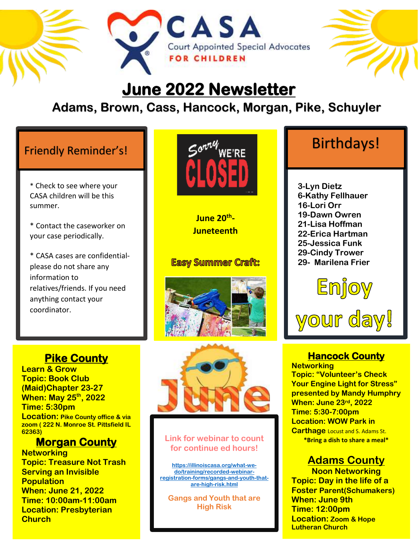



# **June 2022 Newsletter**

### **Adams, Brown, Cass, Hancock, Morgan, Pike, Schuyler**

**CASA** 

\* Check to see where your CASA children will be this summer.

\* Contact the caseworker on your case periodically.

\* CASA cases are confidentialplease do not share any information to relatives/friends. If you need anything contact your coordinator.

### **Pike County**

**Learn & Grow Topic: Book Club (Maid)Chapter 23-27 When: May 25 th, 2022 Time: 5:30pm Location: Pike County office & via zoom ( 222 N. Monroe St. Pittsfield IL 62363)**

### **Morgan County**

**Networking Topic: Treasure Not Trash Serving an Invisible Population When: June 21, 2022 Time: 10:00am-11:00am Location: Presbyterian Church**



**June 20th - Juneteenth**

### **Easy Summer Craft:**





### **Link for webinar to count for continue ed hours!**

**[https://illinoiscasa.org/what-we](https://illinoiscasa.org/what-we-do/training/recorded-webinar-registration-forms/gangs-and-youth-that-are-high-risk.html)[do/training/recorded-webinar](https://illinoiscasa.org/what-we-do/training/recorded-webinar-registration-forms/gangs-and-youth-that-are-high-risk.html)[registration-forms/gangs-and-youth-that](https://illinoiscasa.org/what-we-do/training/recorded-webinar-registration-forms/gangs-and-youth-that-are-high-risk.html)[are-high-risk.html](https://illinoiscasa.org/what-we-do/training/recorded-webinar-registration-forms/gangs-and-youth-that-are-high-risk.html)**

**Gangs and Youth that are High Risk** 

**3-Lyn Dietz 6-Kathy Fellhauer 16-Lori Orr 19-Dawn Owren 21-Lisa Hoffman 22-Erica Hartman 25-Jessica Funk 29-Cindy Trower 29- Marilena Frier**



# your day!

### **Hancock County**

**Networking Topic: "Volunteer's Check Your Engine Light for Stress" presented by Mandy Humphry When: June 23rd, 2022 Time: 5:30-7:00pm Location: WOW Park in Carthage** Locust and S. Adams St. **\*Bring a dish to share a meal\***

### **Adams County**

**Noon Networking Topic: Day in the life of a Foster Parent(Schumakers) When: June 9th Time: 12:00pm Location: Zoom & Hope Lutheran Church**